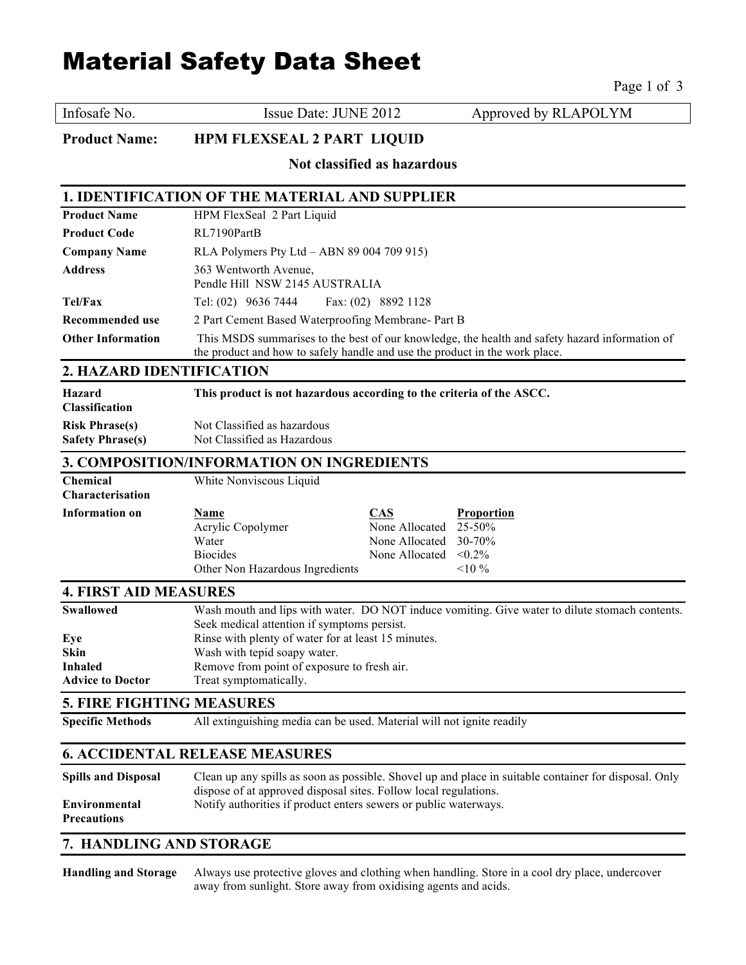# Material Safety Data Sheet

Page 1 of 3

Infosafe No. **Issue Date: JUNE 2012** Approved by RLAPOLYM

**Product Name: HPM FLEXSEAL 2 PART LIQUID** 

**Not classified as hazardous**

#### **1. IDENTIFICATION OF THE MATERIAL AND SUPPLIER**

| <b>Product Name</b>      | HPM FlexSeal 2 Part Liquid                                                                                                                                                    |  |
|--------------------------|-------------------------------------------------------------------------------------------------------------------------------------------------------------------------------|--|
| <b>Product Code</b>      | RL7190PartB                                                                                                                                                                   |  |
| <b>Company Name</b>      | RLA Polymers Pty Ltd $-$ ABN 89 004 709 915)                                                                                                                                  |  |
| <b>Address</b>           | 363 Wentworth Avenue,<br>Pendle Hill NSW 2145 AUSTRALIA                                                                                                                       |  |
| Tel/Fax                  | Tel: $(02)$ 9636 7444 Fax: $(02)$ 8892 1128                                                                                                                                   |  |
| Recommended use          | 2 Part Cement Based Waterproofing Membrane- Part B                                                                                                                            |  |
| <b>Other Information</b> | This MSDS summarises to the best of our knowledge, the health and safety hazard information of<br>the product and how to safely handle and use the product in the work place. |  |

### **2. HAZARD IDENTIFICATION**

| Hazard<br><b>Classification</b> | This product is not hazardous according to the criteria of the ASCC. |
|---------------------------------|----------------------------------------------------------------------|
| <b>Risk Phrase(s)</b>           | Not Classified as hazardous                                          |
| <b>Safety Phrase(s)</b>         | Not Classified as Hazardous                                          |

# **3. COMPOSITION/INFORMATION ON INGREDIENTS**

| Chemical<br><b>Characterisation</b> | White Nonviscous Liquid         |                          |                   |
|-------------------------------------|---------------------------------|--------------------------|-------------------|
| Information on                      | <u>Name</u>                     | CAS                      | <b>Proportion</b> |
|                                     | Acrylic Copolymer               | None Allocated $25-50\%$ |                   |
|                                     | Water                           | None Allocated $30-70\%$ |                   |
|                                     | <b>Biocides</b>                 | None Allocated           | $< 0.2\%$         |
|                                     | Other Non Hazardous Ingredients |                          | $10\%$            |

# **4. FIRST AID MEASURES**

| <b>Swallowed</b>        | Wash mouth and lips with water. DO NOT induce vomiting. Give water to dilute stomach contents. |
|-------------------------|------------------------------------------------------------------------------------------------|
|                         | Seek medical attention if symptoms persist.                                                    |
| Eye                     | Rinse with plenty of water for at least 15 minutes.                                            |
| <b>Skin</b>             | Wash with tepid soapy water.                                                                   |
| <b>Inhaled</b>          | Remove from point of exposure to fresh air.                                                    |
| <b>Advice to Doctor</b> | Treat symptomatically.                                                                         |

# **5. FIRE FIGHTING MEASURES**

**Specific Methods** All extinguishing media can be used. Material will not ignite readily

## **6. ACCIDENTAL RELEASE MEASURES**

| <b>Spills and Disposal</b> | Clean up any spills as soon as possible. Shovel up and place in suitable container for disposal. Only |
|----------------------------|-------------------------------------------------------------------------------------------------------|
|                            | dispose of at approved disposal sites. Follow local regulations.                                      |
| Environmental              | Notify authorities if product enters sewers or public waterways.                                      |
| <b>Precautions</b>         |                                                                                                       |

# **7. HANDLING AND STORAGE**

**Handling and Storage** Always use protective gloves and clothing when handling. Store in a cool dry place, undercover away from sunlight. Store away from oxidising agents and acids.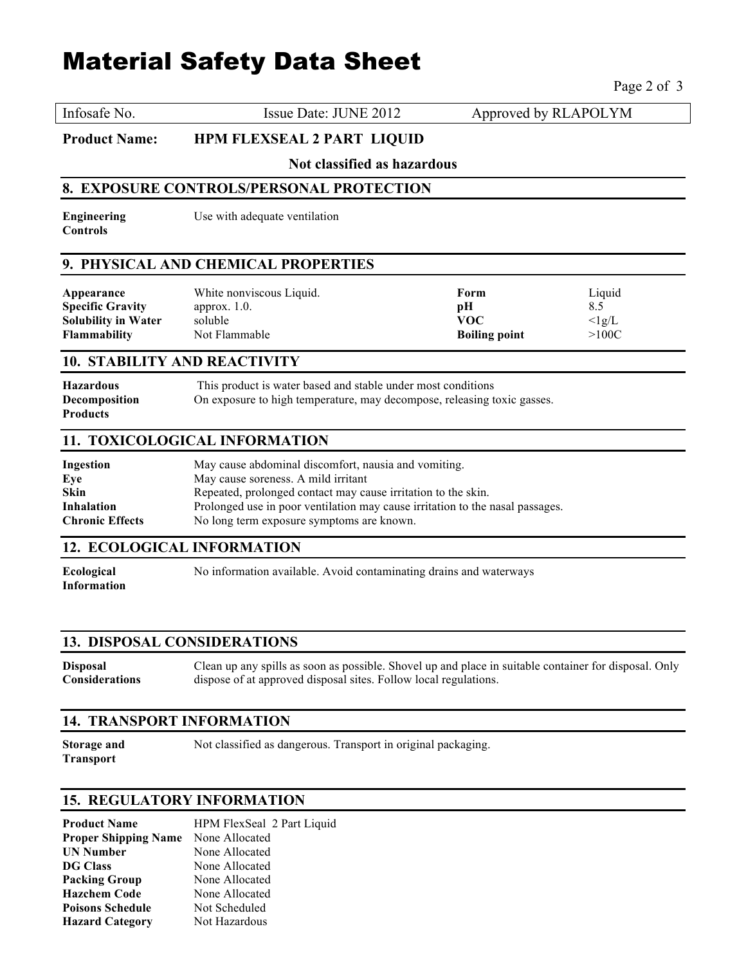# Material Safety Data Sheet

Page 2 of 3

Infosafe No. Similarly Issue Date: JUNE 2012 Approved by RLAPOLYM

**Product Name: HPM FLEXSEAL 2 PART LIQUID** 

**Not classified as hazardous**

#### **8. EXPOSURE CONTROLS/PERSONAL PROTECTION**

**Engineering** Use with adequate ventilation **Controls**

# **9. PHYSICAL AND CHEMICAL PROPERTIES**

| Appearance                 | White nonviscous Liquid. | Form                 | Liquid         |
|----------------------------|--------------------------|----------------------|----------------|
| <b>Specific Gravity</b>    | approx. $1.0$ .          | рH                   |                |
| <b>Solubility in Water</b> | soluble                  | VOC                  | $\langle$ lg/L |
| Flammability               | Not Flammable            | <b>Boiling point</b> | $>$ 100C $\,$  |
|                            |                          |                      |                |

#### **10. STABILITY AND REACTIVITY**

| <b>Hazardous</b>     | This product is water based and stable under most conditions            |
|----------------------|-------------------------------------------------------------------------|
| <b>Decomposition</b> | On exposure to high temperature, may decompose, releasing toxic gasses. |
| <b>Products</b>      |                                                                         |

# **11. TOXICOLOGICAL INFORMATION**

| Ingestion              | May cause abdominal discomfort, nausia and vomiting.                          |
|------------------------|-------------------------------------------------------------------------------|
| Eye                    | May cause soreness. A mild irritant                                           |
| <b>Skin</b>            | Repeated, prolonged contact may cause irritation to the skin.                 |
| <b>Inhalation</b>      | Prolonged use in poor ventilation may cause irritation to the nasal passages. |
| <b>Chronic Effects</b> | No long term exposure symptoms are known.                                     |

## **12. ECOLOGICAL INFORMATION**

**Information**

**Ecological** No information available. Avoid contaminating drains and waterways

#### **13. DISPOSAL CONSIDERATIONS**

**Disposal** Clean up any spills as soon as possible. Shovel up and place in suitable container for disposal. Only **Considerations** dispose of at approved disposal sites. Follow local regulations.

#### **14. TRANSPORT INFORMATION**

**Transport**

**Storage and** Not classified as dangerous. Transport in original packaging.

#### **15. REGULATORY INFORMATION**

| <b>Product Name</b>         | HPM FlexSeal 2 Part Liquid |
|-----------------------------|----------------------------|
| <b>Proper Shipping Name</b> | None Allocated             |
| <b>UN Number</b>            | None Allocated             |
| <b>DG Class</b>             | None Allocated             |
| Packing Group               | None Allocated             |
| <b>Hazchem Code</b>         | None Allocated             |
| <b>Poisons Schedule</b>     | Not Scheduled              |
| <b>Hazard Category</b>      | Not Hazardous              |